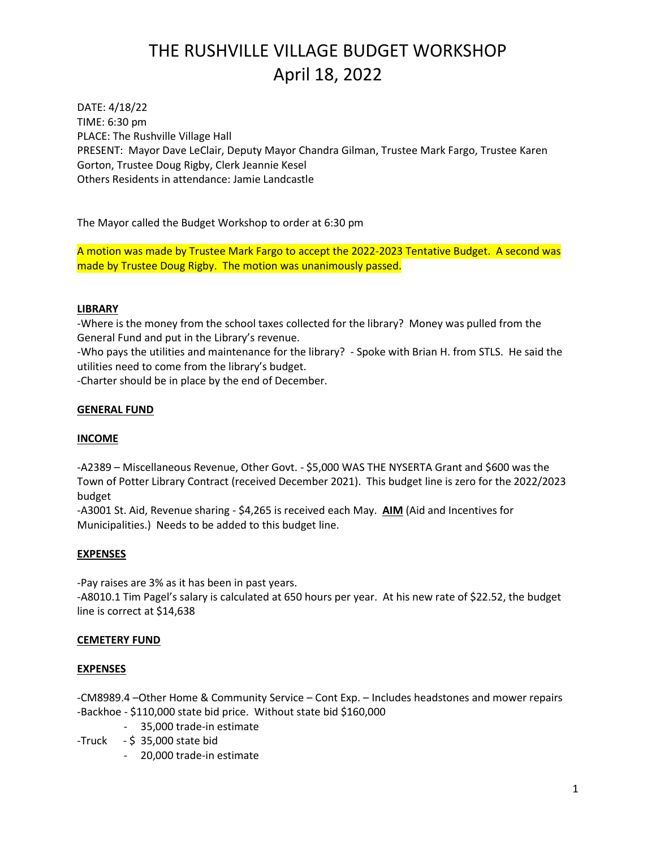## THE RUSHVILLE VILLAGE BUDGET WORKSHOP April 18, 2022

DATE: 4/18/22 TIME: 6:30 pm PLACE: The Rushville Village Hall PRESENT: Mayor Dave LeClair, Deputy Mayor Chandra Gilman, Trustee Mark Fargo, Trustee Karen Gorton, Trustee Doug Rigby, Clerk Jeannie Kesel Others Residents in attendance: Jamie Landcastle

The Mayor called the Budget Workshop to order at 6:30 pm

A motion was made by Trustee Mark Fargo to accept the 2022-2023 Tentative Budget. A second was made by Trustee Doug Rigby. The motion was unanimously passed.

#### **LIBRARY**

-Where is the money from the school taxes collected for the library? Money was pulled from the General Fund and put in the Library's revenue.

-Who pays the utilities and maintenance for the library? - Spoke with Brian H. from STLS. He said the utilities need to come from the library's budget.

-Charter should be in place by the end of December.

#### **GENERAL FUND**

#### **INCOME**

-A2389 – Miscellaneous Revenue, Other Govt. - \$5,000 WAS THE NYSERTA Grant and \$600 was the Town of Potter Library Contract (received December 2021). This budget line is zero for the 2022/2023 budget

-A3001 St. Aid, Revenue sharing - \$4,265 is received each May. **AIM** (Aid and Incentives for Municipalities.) Needs to be added to this budget line.

#### **EXPENSES**

-Pay raises are 3% as it has been in past years.

-A8010.1 Tim Pagel's salary is calculated at 650 hours per year. At his new rate of \$22.52, the budget line is correct at \$14,638

#### **CEMETERY FUND**

#### **EXPENSES**

-CM8989.4 –Other Home & Community Service – Cont Exp. – Includes headstones and mower repairs -Backhoe - \$110,000 state bid price. Without state bid \$160,000

- 35,000 trade-in estimate
- $-Truck $35,000 state bid$ 
	- 20,000 trade-in estimate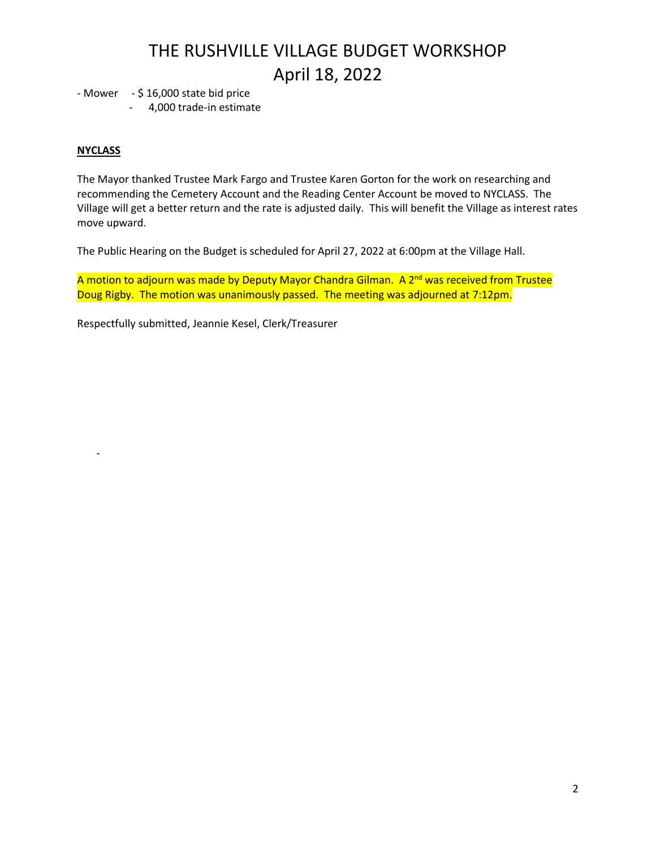## THE RUSHVILLE VILLAGE BUDGET WORKSHOP April 18, 2022

- Mower - \$ 16,000 state bid price

- 4,000 trade-in estimate

### **NYCLASS**

-

The Mayor thanked Trustee Mark Fargo and Trustee Karen Gorton for the work on researching and recommending the Cemetery Account and the Reading Center Account be moved to NYCLASS. The Village will get a better return and the rate is adjusted daily. This will benefit the Village as interest rates move upward.

The Public Hearing on the Budget is scheduled for April 27, 2022 at 6:00pm at the Village Hall.

A motion to adjourn was made by Deputy Mayor Chandra Gilman. A 2<sup>nd</sup> was received from Trustee Doug Rigby. The motion was unanimously passed. The meeting was adjourned at 7:12pm.

Respectfully submitted, Jeannie Kesel, Clerk/Treasurer